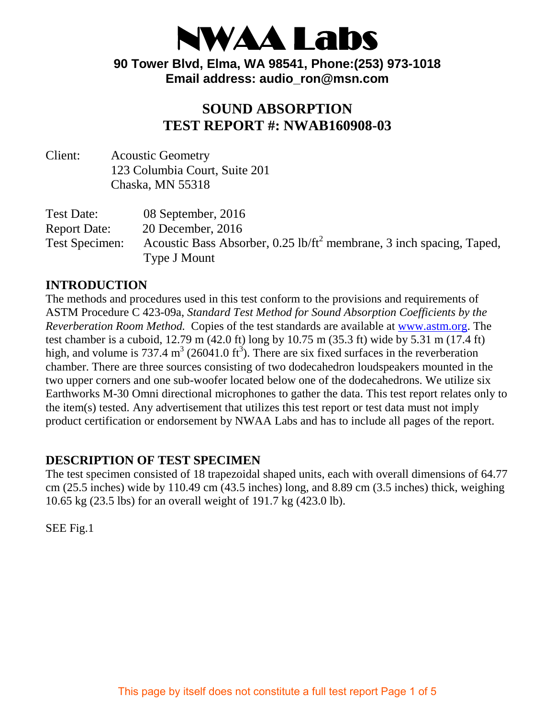

**90 Tower Blvd, Elma, WA 98541, Phone:(253) 973-1018 Email address: audio\_ron@msn.com**

### **SOUND ABSORPTION TEST REPORT #: NWAB160908-03**

Client: Acoustic Geometry 123 Columbia Court, Suite 201 Chaska, MN 55318

Test Date: 08 September, 2016 Report Date: 20 December, 2016 Test Specimen: Acoustic Bass Absorber, 0.25 lb/ft<sup>2</sup> membrane, 3 inch spacing, Taped, Type J Mount

#### **INTRODUCTION**

The methods and procedures used in this test conform to the provisions and requirements of ASTM Procedure C 423-09a, *Standard Test Method for Sound Absorption Coefficients by the Reverberation Room Method.* Copies of the test standards are available at [www.astm.org.](http://www.astm.org/) The test chamber is a cuboid, 12.79 m (42.0 ft) long by 10.75 m (35.3 ft) wide by 5.31 m (17.4 ft) high, and volume is 737.4 m<sup>3</sup> (26041.0 ft<sup>3</sup>). There are six fixed surfaces in the reverberation chamber. There are three sources consisting of two dodecahedron loudspeakers mounted in the two upper corners and one sub-woofer located below one of the dodecahedrons. We utilize six Earthworks M-30 Omni directional microphones to gather the data. This test report relates only to the item(s) tested. Any advertisement that utilizes this test report or test data must not imply product certification or endorsement by NWAA Labs and has to include all pages of the report.

#### **DESCRIPTION OF TEST SPECIMEN**

The test specimen consisted of 18 trapezoidal shaped units, each with overall dimensions of 64.77 cm (25.5 inches) wide by 110.49 cm (43.5 inches) long, and 8.89 cm (3.5 inches) thick, weighing 10.65 kg (23.5 lbs) for an overall weight of 191.7 kg (423.0 lb).

SEE Fig.1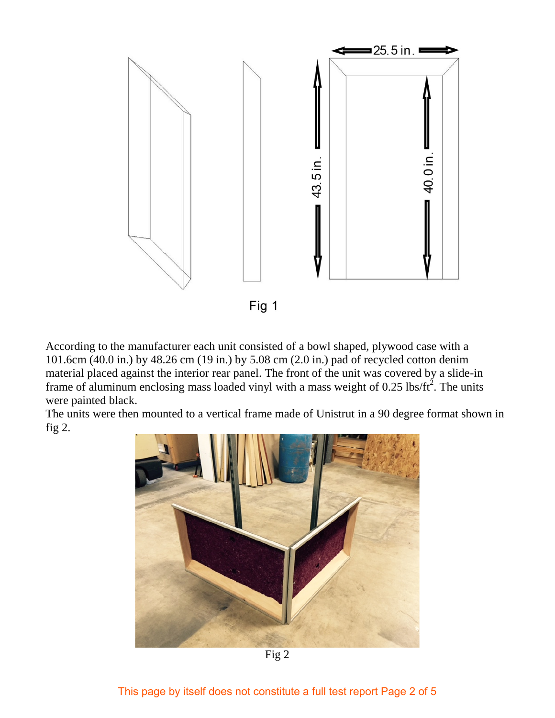

According to the manufacturer each unit consisted of a bowl shaped, plywood case with a 101.6cm (40.0 in.) by 48.26 cm (19 in.) by 5.08 cm (2.0 in.) pad of recycled cotton denim material placed against the interior rear panel. The front of the unit was covered by a slide-in frame of aluminum enclosing mass loaded vinyl with a mass weight of 0.25 lbs/ft<sup>2</sup>. The units were painted black.

The units were then mounted to a vertical frame made of Unistrut in a 90 degree format shown in fig 2.



Fig 2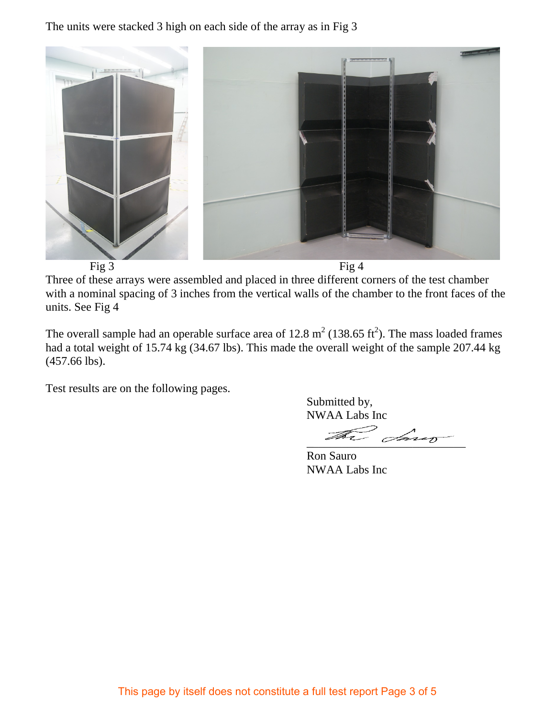The units were stacked 3 high on each side of the array as in Fig 3



Three of these arrays were assembled and placed in three different corners of the test chamber with a nominal spacing of 3 inches from the vertical walls of the chamber to the front faces of the units. See Fig 4

The overall sample had an operable surface area of  $12.8 \text{ m}^2$  (138.65 ft<sup>2</sup>). The mass loaded frames had a total weight of 15.74 kg (34.67 lbs). This made the overall weight of the sample 207.44 kg (457.66 lbs).

Test results are on the following pages.

 Submitted by, NWAA Labs Inc

 $\mathbb{Z}$  days

 Ron Sauro NWAA Labs Inc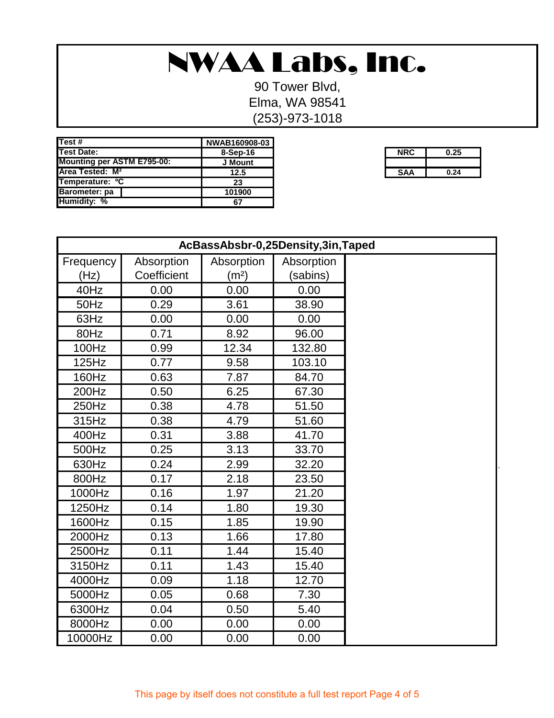## NWAA Labs, Inc.

90 Tower Blvd, Elma, WA 98541 (253)-973-1018

| Test #                            | NWAB160908-03 |
|-----------------------------------|---------------|
| <b>Test Date:</b>                 | $8-Sep-16$    |
| <b>Mounting per ASTM E795-00:</b> | J Mount       |
| Area Tested: M <sup>2</sup>       | 12.5          |
| Temperature: <sup>o</sup> C       | 23            |
| Barometer: pa                     | 101900        |
| <b>Humidity: %</b>                | 67            |

| ן טט־טעטו שר |            |      |
|--------------|------------|------|
| 8-Sep-16     | <b>NRC</b> | 0.25 |
| J Mount      |            |      |
| 12.5         | <b>SAA</b> | 0.24 |

| AcBassAbsbr-0,25Density,3in,Taped |             |                   |            |  |
|-----------------------------------|-------------|-------------------|------------|--|
| Frequency                         | Absorption  | Absorption        | Absorption |  |
| (Hz)                              | Coefficient | (m <sup>2</sup> ) | (sabins)   |  |
| 40Hz                              | 0.00        | 0.00              | 0.00       |  |
| 50Hz                              | 0.29        | 3.61              | 38.90      |  |
| 63Hz                              | 0.00        | 0.00              | 0.00       |  |
| 80Hz                              | 0.71        | 8.92              | 96.00      |  |
| 100Hz                             | 0.99        | 12.34             | 132.80     |  |
| 125Hz                             | 0.77        | 9.58              | 103.10     |  |
| 160Hz                             | 0.63        | 7.87              | 84.70      |  |
| 200Hz                             | 0.50        | 6.25              | 67.30      |  |
| 250Hz                             | 0.38        | 4.78              | 51.50      |  |
| 315Hz                             | 0.38        | 4.79              | 51.60      |  |
| 400Hz                             | 0.31        | 3.88              | 41.70      |  |
| 500Hz                             | 0.25        | 3.13              | 33.70      |  |
| 630Hz                             | 0.24        | 2.99              | 32.20      |  |
| 800Hz                             | 0.17        | 2.18              | 23.50      |  |
| 1000Hz                            | 0.16        | 1.97              | 21.20      |  |
| 1250Hz                            | 0.14        | 1.80              | 19.30      |  |
| 1600Hz                            | 0.15        | 1.85              | 19.90      |  |
| 2000Hz                            | 0.13        | 1.66              | 17.80      |  |
| 2500Hz                            | 0.11        | 1.44              | 15.40      |  |
| 3150Hz                            | 0.11        | 1.43              | 15.40      |  |
| 4000Hz                            | 0.09        | 1.18              | 12.70      |  |
| 5000Hz                            | 0.05        | 0.68              | 7.30       |  |
| 6300Hz                            | 0.04        | 0.50              | 5.40       |  |
| 8000Hz                            | 0.00        | 0.00              | 0.00       |  |
| 10000Hz                           | 0.00        | 0.00              | 0.00       |  |